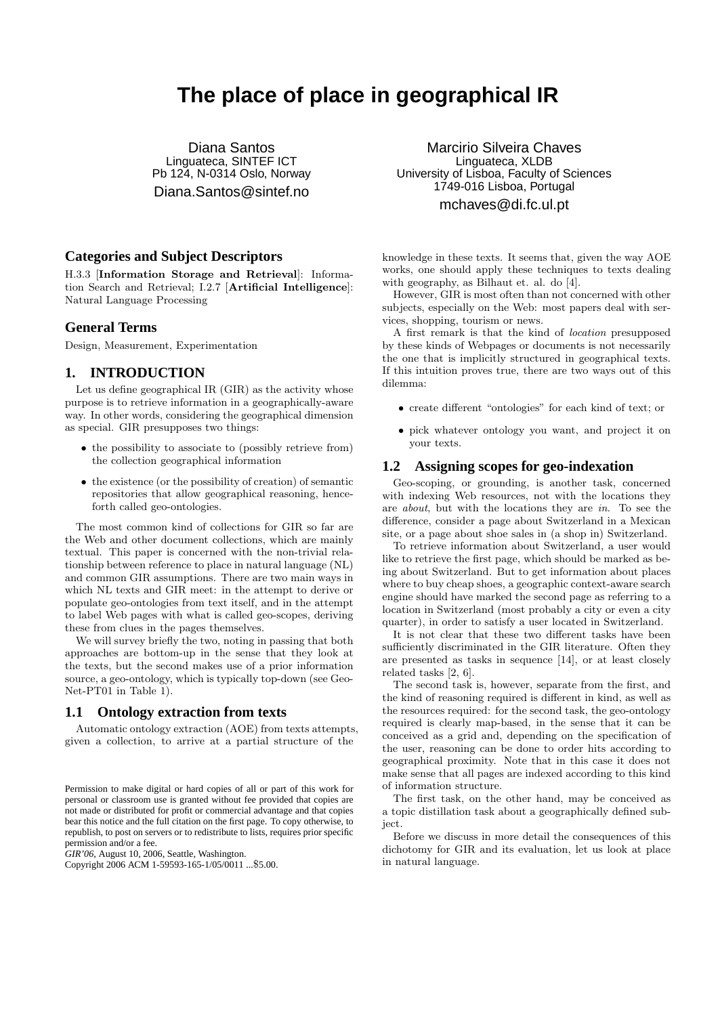# **The place of place in geographical IR**

Diana Santos Linguateca, SINTEF ICT Pb 124, N-0314 Oslo, Norway Diana.Santos@sintef.no

#### **Categories and Subject Descriptors**

H.3.3 [Information Storage and Retrieval]: Information Search and Retrieval; I.2.7 [Artificial Intelligence]: Natural Language Processing

#### **General Terms**

Design, Measurement, Experimentation

#### **1. INTRODUCTION**

Let us define geographical IR (GIR) as the activity whose purpose is to retrieve information in a geographically-aware way. In other words, considering the geographical dimension as special. GIR presupposes two things:

- the possibility to associate to (possibly retrieve from) the collection geographical information
- the existence (or the possibility of creation) of semantic repositories that allow geographical reasoning, henceforth called geo-ontologies.

The most common kind of collections for GIR so far are the Web and other document collections, which are mainly textual. This paper is concerned with the non-trivial relationship between reference to place in natural language (NL) and common GIR assumptions. There are two main ways in which NL texts and GIR meet: in the attempt to derive or populate geo-ontologies from text itself, and in the attempt to label Web pages with what is called geo-scopes, deriving these from clues in the pages themselves.

We will survey briefly the two, noting in passing that both approaches are bottom-up in the sense that they look at the texts, but the second makes use of a prior information source, a geo-ontology, which is typically top-down (see Geo-Net-PT01 in Table 1).

#### **1.1 Ontology extraction from texts**

Automatic ontology extraction (AOE) from texts attempts, given a collection, to arrive at a partial structure of the

*GIR'06,* August 10, 2006, Seattle, Washington.

Marcirio Silveira Chaves Linguateca, XLDB University of Lisboa, Faculty of Sciences 1749-016 Lisboa, Portugal mchaves@di.fc.ul.pt

knowledge in these texts. It seems that, given the way AOE works, one should apply these techniques to texts dealing with geography, as Bilhaut et. al. do [4].

However, GIR is most often than not concerned with other subjects, especially on the Web: most papers deal with services, shopping, tourism or news.

A first remark is that the kind of location presupposed by these kinds of Webpages or documents is not necessarily the one that is implicitly structured in geographical texts. If this intuition proves true, there are two ways out of this dilemma:

- create different "ontologies" for each kind of text; or
- pick whatever ontology you want, and project it on your texts.

#### **1.2 Assigning scopes for geo-indexation**

Geo-scoping, or grounding, is another task, concerned with indexing Web resources, not with the locations they are about, but with the locations they are in. To see the difference, consider a page about Switzerland in a Mexican site, or a page about shoe sales in (a shop in) Switzerland.

To retrieve information about Switzerland, a user would like to retrieve the first page, which should be marked as being about Switzerland. But to get information about places where to buy cheap shoes, a geographic context-aware search engine should have marked the second page as referring to a location in Switzerland (most probably a city or even a city quarter), in order to satisfy a user located in Switzerland.

It is not clear that these two different tasks have been sufficiently discriminated in the GIR literature. Often they are presented as tasks in sequence [14], or at least closely related tasks [2, 6].

The second task is, however, separate from the first, and the kind of reasoning required is different in kind, as well as the resources required: for the second task, the geo-ontology required is clearly map-based, in the sense that it can be conceived as a grid and, depending on the specification of the user, reasoning can be done to order hits according to geographical proximity. Note that in this case it does not make sense that all pages are indexed according to this kind of information structure.

The first task, on the other hand, may be conceived as a topic distillation task about a geographically defined subject.

Before we discuss in more detail the consequences of this dichotomy for GIR and its evaluation, let us look at place in natural language.

Permission to make digital or hard copies of all or part of this work for personal or classroom use is granted without fee provided that copies are not made or distributed for profit or commercial advantage and that copies bear this notice and the full citation on the first page. To copy otherwise, to republish, to post on servers or to redistribute to lists, requires prior specific permission and/or a fee.

Copyright 2006 ACM 1-59593-165-1/05/0011 ...\$5.00.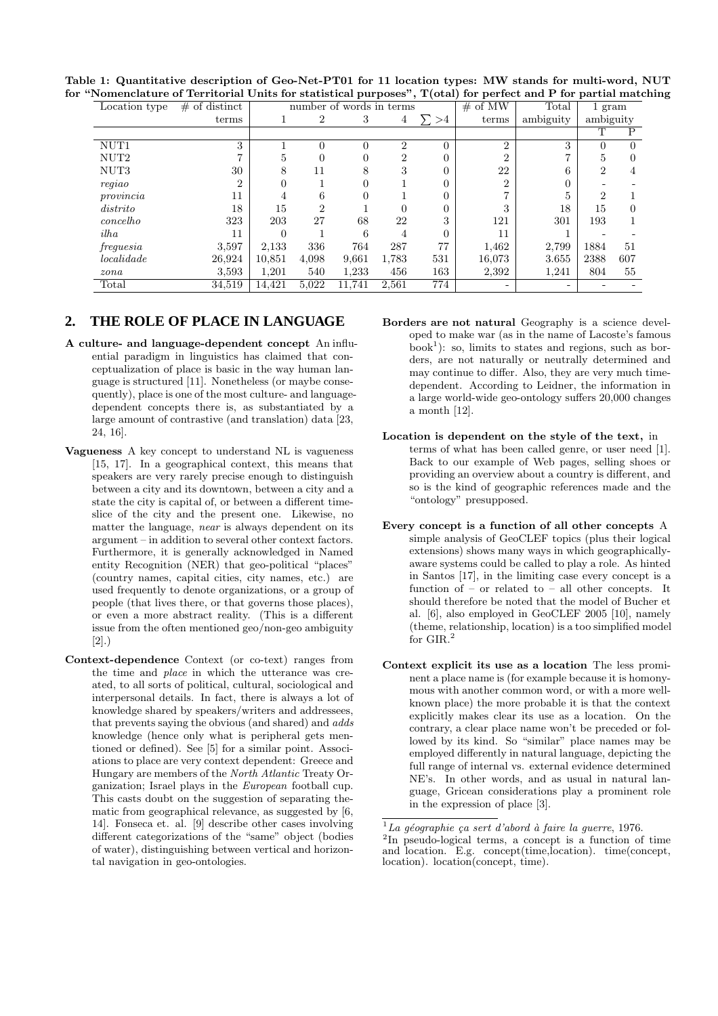| Table 1: Quantitative description of Geo-Net-PT01 for 11 location types: MW stands for multi-word, NUT                    |  |  |  |  |  |
|---------------------------------------------------------------------------------------------------------------------------|--|--|--|--|--|
| for "Nomenclature of Territorial Units for statistical purposes", $T(\text{otal})$ for perfect and P for partial matching |  |  |  |  |  |

| Location type $\#$ of distinct |                                                                             |        |       |       | number of words in terms |                  | $#$ of MW | Total     | 1 gram                                                                                      |             |
|--------------------------------|-----------------------------------------------------------------------------|--------|-------|-------|--------------------------|------------------|-----------|-----------|---------------------------------------------------------------------------------------------|-------------|
|                                | terms                                                                       |        |       |       |                          | $4\quad \sum >4$ | terms     | ambiguity | ambiguity                                                                                   |             |
|                                |                                                                             |        |       |       |                          |                  |           |           |                                                                                             |             |
| NUT <sub>1</sub>               |                                                                             |        |       |       |                          |                  |           |           |                                                                                             |             |
| $\rm NUT2$                     |                                                                             |        |       |       |                          |                  |           |           |                                                                                             |             |
| $\rm NUT3$                     | -30                                                                         |        |       |       |                          |                  | -22       |           |                                                                                             |             |
| $\operatorname{regiao}$        |                                                                             |        |       |       |                          |                  |           |           |                                                                                             |             |
| $provincia$                    | TT.                                                                         |        |       |       |                          |                  |           |           |                                                                                             |             |
| distrito                       | 18                                                                          |        |       |       |                          |                  |           |           |                                                                                             |             |
| concelho                       | 323                                                                         | 203    | 27    | -68   | 22                       |                  | 121       | 301       | $193\,$                                                                                     |             |
| ilha                           |                                                                             |        |       |       |                          |                  |           |           | $\sim$ $\sim$                                                                               |             |
| $freguesia$                    | 3,597                                                                       | 2,133  | 336   | 764   | 287                      | 77               | 1,462     |           |                                                                                             |             |
| localidade                     | 26,924                                                                      | 10,851 | 4,098 | 9,661 | 1,783                    | 531              | 16,073    |           |                                                                                             |             |
| zona                           | 3,593                                                                       | 1,201  | 540   | l,233 | 456                      | 163              | 2,392     |           | $\begin{array}{c cc} 2,799 & 1884 & 51 \ 3.655 & 2388 & 607 \ 1,241 & 804 & 55 \end{array}$ |             |
| Total                          | $34,519$ $\overline{14,421}$ $5,022$ $\overline{11,741}$ $\overline{2,561}$ |        |       |       |                          | 774              |           |           |                                                                                             | $\sim$ $ -$ |

#### **2. THE ROLE OF PLACE IN LANGUAGE**

- A culture- and language-dependent concept An influential paradigm in linguistics has claimed that conceptualization of place is basic in the way human language is structured [11]. Nonetheless (or maybe consequently), place is one of the most culture- and languagedependent concepts there is, as substantiated by a large amount of contrastive (and translation) data [23, 24, 16].
- Vagueness A key concept to understand NL is vagueness [15, 17]. In a geographical context, this means that speakers are very rarely precise enough to distinguish between a city and its downtown, between a city and a state the city is capital of, or between a different timeslice of the city and the present one. Likewise, no matter the language, near is always dependent on its argument – in addition to several other context factors. Furthermore, it is generally acknowledged in Named entity Recognition (NER) that geo-political "places" (country names, capital cities, city names, etc.) are used frequently to denote organizations, or a group of people (that lives there, or that governs those places), or even a more abstract reality. (This is a different issue from the often mentioned geo/non-geo ambiguity [2].)
- Context-dependence Context (or co-text) ranges from the time and place in which the utterance was created, to all sorts of political, cultural, sociological and interpersonal details. In fact, there is always a lot of knowledge shared by speakers/writers and addressees, that prevents saying the obvious (and shared) and adds knowledge (hence only what is peripheral gets mentioned or defined). See [5] for a similar point. Associations to place are very context dependent: Greece and Hungary are members of the North Atlantic Treaty Organization; Israel plays in the European football cup. This casts doubt on the suggestion of separating thematic from geographical relevance, as suggested by [6, 14]. Fonseca et. al. [9] describe other cases involving different categorizations of the "same" object (bodies of water), distinguishing between vertical and horizontal navigation in geo-ontologies.
- Borders are not natural Geography is a science developed to make war (as in the name of Lacoste's famous  $\text{book}^1$ ): so, limits to states and regions, such as borders, are not naturally or neutrally determined and may continue to differ. Also, they are very much timedependent. According to Leidner, the information in a large world-wide geo-ontology suffers 20,000 changes a month [12].
- Location is dependent on the style of the text, in terms of what has been called genre, or user need [1]. Back to our example of Web pages, selling shoes or providing an overview about a country is different, and so is the kind of geographic references made and the "ontology" presupposed.
- Every concept is a function of all other concepts A simple analysis of GeoCLEF topics (plus their logical extensions) shows many ways in which geographicallyaware systems could be called to play a role. As hinted in Santos [17], in the limiting case every concept is a function of – or related to – all other concepts. It should therefore be noted that the model of Bucher et al. [6], also employed in GeoCLEF 2005 [10], namely (theme, relationship, location) is a too simplified model for GIR.<sup>2</sup>
- Context explicit its use as a location The less prominent a place name is (for example because it is homonymous with another common word, or with a more wellknown place) the more probable it is that the context explicitly makes clear its use as a location. On the contrary, a clear place name won't be preceded or followed by its kind. So "similar" place names may be employed differently in natural language, depicting the full range of internal vs. external evidence determined NE's. In other words, and as usual in natural language, Gricean considerations play a prominent role in the expression of place [3].

 $1$ La géographie ça sert d'abord à faire la guerre, 1976.

<sup>2</sup> In pseudo-logical terms, a concept is a function of time and location. E.g. concept(time,location). time(concept, location). location(concept, time).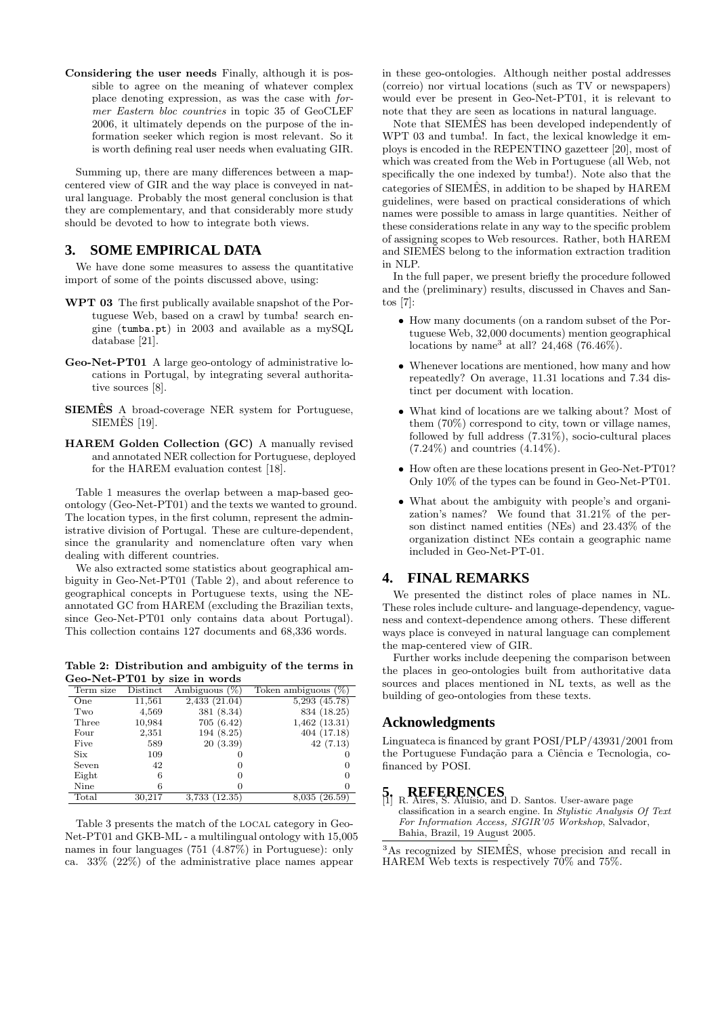Considering the user needs Finally, although it is possible to agree on the meaning of whatever complex place denoting expression, as was the case with former Eastern bloc countries in topic 35 of GeoCLEF 2006, it ultimately depends on the purpose of the information seeker which region is most relevant. So it is worth defining real user needs when evaluating GIR.

Summing up, there are many differences between a mapcentered view of GIR and the way place is conveyed in natural language. Probably the most general conclusion is that they are complementary, and that considerably more study should be devoted to how to integrate both views.

## **3. SOME EMPIRICAL DATA**

We have done some measures to assess the quantitative import of some of the points discussed above, using:

- WPT 03 The first publically available snapshot of the Portuguese Web, based on a crawl by tumba! search engine (tumba.pt) in 2003 and available as a mySQL database [21].
- Geo-Net-PT01 A large geo-ontology of administrative locations in Portugal, by integrating several authoritative sources [8].
- SIEMÊS A broad-coverage NER system for Portuguese,  $SIEMES$  [19].
- HAREM Golden Collection (GC) A manually revised and annotated NER collection for Portuguese, deployed for the HAREM evaluation contest [18].

Table 1 measures the overlap between a map-based geoontology (Geo-Net-PT01) and the texts we wanted to ground. The location types, in the first column, represent the administrative division of Portugal. These are culture-dependent, since the granularity and nomenclature often vary when dealing with different countries.

We also extracted some statistics about geographical ambiguity in Geo-Net-PT01 (Table 2), and about reference to geographical concepts in Portuguese texts, using the NEannotated GC from HAREM (excluding the Brazilian texts, since Geo-Net-PT01 only contains data about Portugal). This collection contains 127 documents and 68,336 words.

Table 2: Distribution and ambiguity of the terms in Geo-Net-PT01 by size in words

| Term size | Distinct | Ambiguous $(\%)$ | Token ambiguous $(\%)$ |
|-----------|----------|------------------|------------------------|
| One       | 11,561   | 2,433(21.04)     | $5,293$ $(45.78)$      |
| Two       | 4,569    | 381 (8.34)       | 834 (18.25)            |
| Three     | 10.984   | 705(6.42)        | $1,462$ $(13.31)$      |
| Four      | 2,351    | 194(8.25)        | 404(17.18)             |
| Five      | 589      | 20(3.39)         | 42(7.13)               |
| Six       | 109      |                  |                        |
| Seven     | 42       | O                |                        |
| Eight     | 6        | 0                |                        |
| Nine      | 6        |                  |                        |
| Total     | 30,217   | 3.733 (12.35)    | 8,035 (26.59)          |

Table 3 presents the match of the local category in Geo-Net-PT01 and GKB-ML - a multilingual ontology with 15,005 names in four languages (751 (4.87%) in Portuguese): only ca. 33% (22%) of the administrative place names appear

in these geo-ontologies. Although neither postal addresses (correio) nor virtual locations (such as TV or newspapers) would ever be present in Geo-Net-PT01, it is relevant to note that they are seen as locations in natural language.

Note that SIEMES has been developed independently of WPT 03 and tumba!. In fact, the lexical knowledge it employs is encoded in the REPENTINO gazetteer [20], most of which was created from the Web in Portuguese (all Web, not specifically the one indexed by tumba!). Note also that the categories of SIEMES, in addition to be shaped by HAREM guidelines, were based on practical considerations of which names were possible to amass in large quantities. Neither of these considerations relate in any way to the specific problem of assigning scopes to Web resources. Rather, both HAREM and SIEMES belong to the information extraction tradition in NLP.

In the full paper, we present briefly the procedure followed and the (preliminary) results, discussed in Chaves and Santos [7]:

- How many documents (on a random subset of the Portuguese Web, 32,000 documents) mention geographical locations by name<sup>3</sup> at all? 24,468 (76.46%).
- Whenever locations are mentioned, how many and how repeatedly? On average, 11.31 locations and 7.34 distinct per document with location.
- What kind of locations are we talking about? Most of them (70%) correspond to city, town or village names, followed by full address (7.31%), socio-cultural places  $(7.24\%)$  and countries  $(4.14\%).$
- How often are these locations present in Geo-Net-PT01? Only 10% of the types can be found in Geo-Net-PT01.
- What about the ambiguity with people's and organization's names? We found that 31.21% of the person distinct named entities (NEs) and 23.43% of the organization distinct NEs contain a geographic name included in Geo-Net-PT-01.

#### **4. FINAL REMARKS**

We presented the distinct roles of place names in NL. These roles include culture- and language-dependency, vagueness and context-dependence among others. These different ways place is conveyed in natural language can complement the map-centered view of GIR.

Further works include deepening the comparison between the places in geo-ontologies built from authoritative data sources and places mentioned in NL texts, as well as the building of geo-ontologies from these texts.

## **Acknowledgments**

Linguateca is financed by grant POSI/PLP/43931/2001 from the Portuguese Fundação para a Ciência e Tecnologia, cofinanced by POSI.

# **5. REFERENCES**<br>[1] R. Aires, S. Aluísio, and D. Santos. User-aware page

classification in a search engine. In Stylistic Analysis Of Text For Information Access, SIGIR'05 Workshop, Salvador, Bahia, Brazil, 19 August 2005.

 $3\text{As recognized by SIEMÊS, whose precision and recall in}$ HAREM Web texts is respectively 70% and 75%.